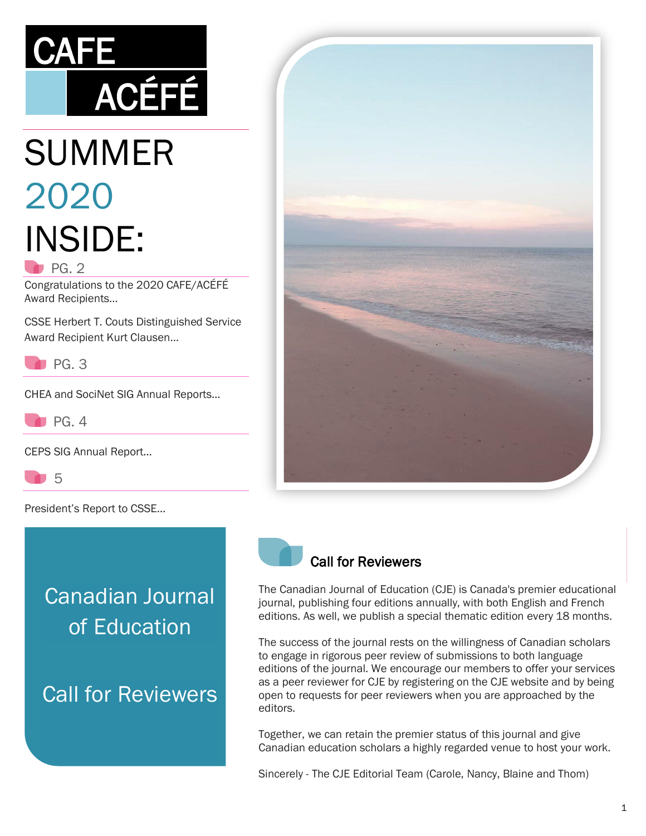

# SUMMER 2020 INSIDE:  $P<sub>G. 2</sub>$

Congratulations to the 2020 CAFE/ACÉFÉ Award Recipients…

CSSE Herbert T. Couts Distinguished Service Award Recipient Kurt Clausen…



CHEA and SociNet SIG Annual Reports…



CEPS SIG Annual Report…

5

President's Report to CSSE…

# Canadian Journal of Education

Call for Reviewers





The Canadian Journal of Education (CJE) is Canada's premier educational journal, publishing four editions annually, with both English and French editions. As well, we publish a special thematic edition every 18 months.

The success of the journal rests on the willingness of Canadian scholars to engage in rigorous peer review of submissions to both language editions of the journal. We encourage our members to offer your services as a peer reviewer for CJE by registering on the CJE website and by being open to requests for peer reviewers when you are approached by the editors.

Together, we can retain the premier status of this journal and give Canadian education scholars a highly regarded venue to host your work.

Sincerely - The CJE Editorial Team (Carole, Nancy, Blaine and Thom)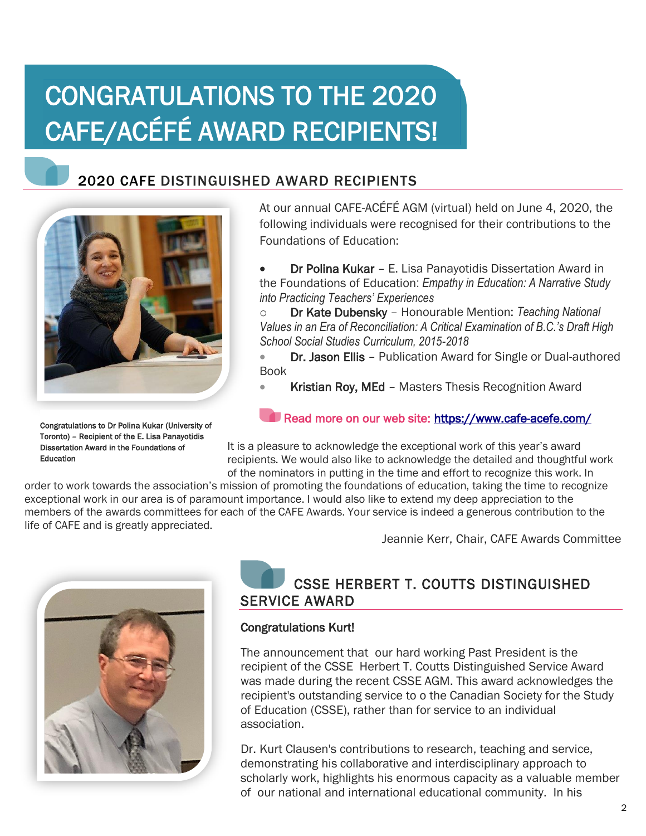# CONGRATULATIONS TO THE 2020 CAFE/ACÉFÉ AWARD RECIPIENTS!

## 2020 CAFE DISTINGUISHED AWARD RECIPIENTS



Congratulations to Dr Polina Kukar (University of Toronto) – Recipient of the E. Lisa Panayotidis Dissertation Award in the Foundations of Education

At our annual CAFE-ACÉFÉ AGM (virtual) held on June 4, 2020, the following individuals were recognised for their contributions to the Foundations of Education:

• Dr Polina Kukar – E. Lisa Panayotidis Dissertation Award in the Foundations of Education: *Empathy in Education: A Narrative Study into Practicing Teachers' Experiences*

o Dr Kate Dubensky – Honourable Mention: *Teaching National Values in an Era of Reconciliation: A Critical Examination of B.C.'s Draft High School Social Studies Curriculum, 2015-2018*

• Dr. Jason Ellis - Publication Award for Single or Dual-authored Book

Kristian Roy, MEd - Masters Thesis Recognition Award

#### Read more on our web site: https://www.cafe-acefe.com/

It is a pleasure to acknowledge the exceptional work of this year's award recipients. We would also like to acknowledge the detailed and thoughtful work of the nominators in putting in the time and effort to recognize this work. In

order to work towards the association's mission of promoting the foundations of education, taking the time to recognize exceptional work in our area is of paramount importance. I would also like to extend my deep appreciation to the members of the awards committees for each of the CAFE Awards. Your service is indeed a generous contribution to the life of CAFE and is greatly appreciated.

Jeannie Kerr, Chair, CAFE Awards Committee



## CSSE HERBERT T. COUTTS DISTINGUISHED SERVICE AWARD

#### Congratulations Kurt!

The announcement that our hard working Past President is the recipient of the CSSE Herbert T. Coutts Distinguished Service Award was made during the recent CSSE AGM. This award acknowledges the recipient's outstanding service to o the Canadian Society for the Study of Education (CSSE), rather than for service to an individual association.

Dr. Kurt Clausen's contributions to research, teaching and service, demonstrating his collaborative and interdisciplinary approach to scholarly work, highlights his enormous capacity as a valuable member of our national and international educational community. In his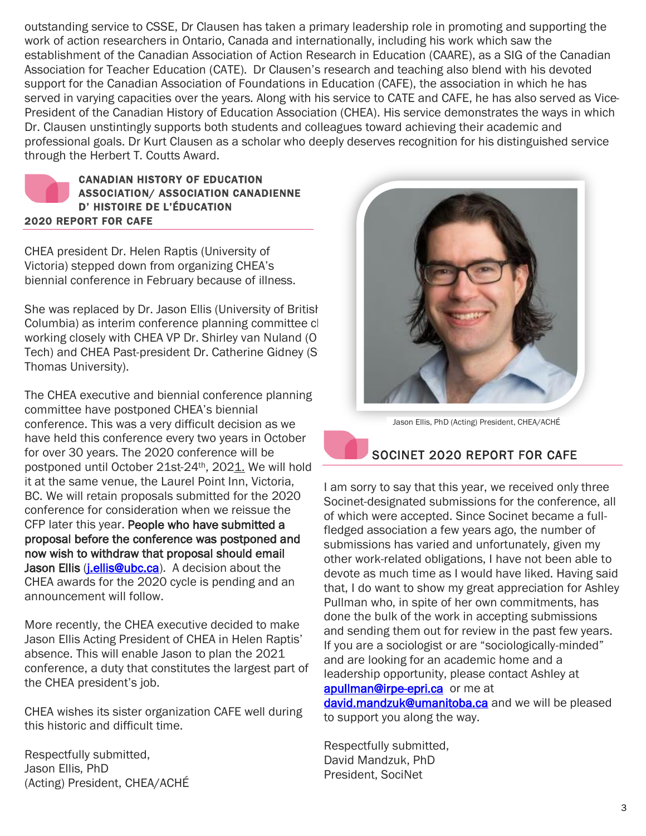outstanding service to CSSE, Dr Clausen has taken a primary leadership role in promoting and supporting the work of action researchers in Ontario, Canada and internationally, including his work which saw the establishment of the Canadian Association of Action Research in Education (CAARE), as a SIG of the Canadian Association for Teacher Education (CATE). Dr Clausen's research and teaching also blend with his devoted support for the Canadian Association of Foundations in Education (CAFE), the association in which he has served in varying capacities over the years. Along with his service to CATE and CAFE, he has also served as Vice-President of the Canadian History of Education Association (CHEA). His service demonstrates the ways in which Dr. Clausen unstintingly supports both students and colleagues toward achieving their academic and professional goals. Dr Kurt Clausen as a scholar who deeply deserves recognition for his distinguished service through the Herbert T. Coutts Award.



CHEA president Dr. Helen Raptis (University of Victoria) stepped down from organizing CHEA's biennial conference in February because of illness.

She was replaced by Dr. Jason Ellis (University of British Columbia) as interim conference planning committee cl working closely with CHEA VP Dr. Shirley van Nuland (O Tech) and CHEA Past-president Dr. Catherine Gidney (St. Thomas University).

The CHEA executive and biennial conference planning committee have postponed CHEA's biennial conference. This was a very difficult decision as we have held this conference every two years in October for over 30 years. The 2020 conference will be postponed until October 21st-24th, 2021. We will hold it at the same venue, the Laurel Point Inn, Victoria, BC. We will retain proposals submitted for the 2020 conference for consideration when we reissue the CFP later this year. People who have submitted a proposal before the conference was postponed and now wish to withdraw that proposal should email Jason Ellis (*i.ellis@ubc.ca*). A decision about the CHEA awards for the 2020 cycle is pending and an announcement will follow.

More recently, the CHEA executive decided to make Jason Ellis Acting President of CHEA in Helen Raptis' absence. This will enable Jason to plan the 2021 conference, a duty that constitutes the largest part of the CHEA president's job.

CHEA wishes its sister organization CAFE well during this historic and difficult time.

Respectfully submitted, Jason Ellis, PhD (Acting) President, CHEA/ACHÉ



Jason Ellis, PhD (Acting) President, CHEA/ACHÉ

### SOCINET 2020 REPORT FOR CAFE

I am sorry to say that this year, we received only three Socinet-designated submissions for the conference, all of which were accepted. Since Socinet became a fullfledged association a few years ago, the number of submissions has varied and unfortunately, given my other work-related obligations, I have not been able to devote as much time as I would have liked. Having said that, I do want to show my great appreciation for Ashley Pullman who, in spite of her own commitments, has done the bulk of the work in accepting submissions and sending them out for review in the past few years. If you are a sociologist or are "sociologically-minded" and are looking for an academic home and a leadership opportunity, please contact Ashley at [apullman@irpe-epri.ca](mailto:apullman@irpe-epri.ca) or me at [david.mandzuk@umanitoba.ca](mailto:david.mandzuk@umanitoba.ca) and we will be pleased

to support you along the way.

Respectfully submitted, David Mandzuk, PhD President, SociNet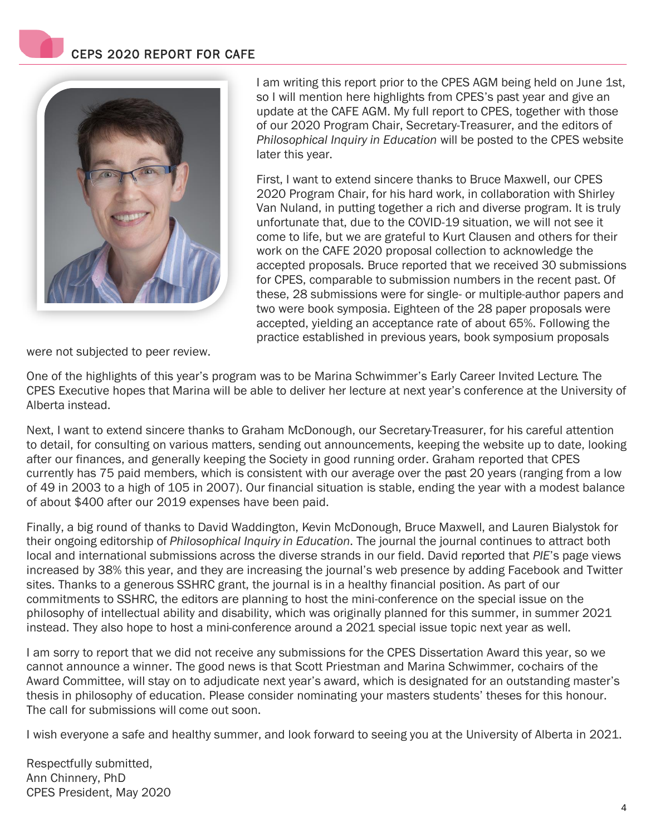### CEPS 2020 REPORT FOR CAFE



I am writing this report prior to the CPES AGM being held on June 1st, so I will mention here highlights from CPES's past year and give an update at the CAFE AGM. My full report to CPES, together with those of our 2020 Program Chair, Secretary-Treasurer, and the editors of *Philosophical Inquiry in Education* will be posted to the CPES website later this year.

First, I want to extend sincere thanks to Bruce Maxwell, our CPES 2020 Program Chair, for his hard work, in collaboration with Shirley Van Nuland, in putting together a rich and diverse program. It is truly unfortunate that, due to the COVID-19 situation, we will not see it come to life, but we are grateful to Kurt Clausen and others for their work on the CAFE 2020 proposal collection to acknowledge the accepted proposals. Bruce reported that we received 30 submissions for CPES, comparable to submission numbers in the recent past. Of these, 28 submissions were for single- or multiple-author papers and two were book symposia. Eighteen of the 28 paper proposals were accepted, yielding an acceptance rate of about 65%. Following the practice established in previous years, book symposium proposals

were not subjected to peer review.

One of the highlights of this year's program was to be Marina Schwimmer's Early Career Invited Lecture. The CPES Executive hopes that Marina will be able to deliver her lecture at next year's conference at the University of Alberta instead.

Next, I want to extend sincere thanks to Graham McDonough, our Secretary-Treasurer, for his careful attention to detail, for consulting on various matters, sending out announcements, keeping the website up to date, looking after our finances, and generally keeping the Society in good running order. Graham reported that CPES currently has 75 paid members, which is consistent with our average over the past 20 years (ranging from a low of 49 in 2003 to a high of 105 in 2007). Our financial situation is stable, ending the year with a modest balance of about \$400 after our 2019 expenses have been paid.

Finally, a big round of thanks to David Waddington, Kevin McDonough, Bruce Maxwell, and Lauren Bialystok for their ongoing editorship of *Philosophical Inquiry in Education*. The journal the journal continues to attract both local and international submissions across the diverse strands in our field. David reported that *PIE*'s page views increased by 38% this year, and they are increasing the journal's web presence by adding Facebook and Twitter sites. Thanks to a generous SSHRC grant, the journal is in a healthy financial position. As part of our commitments to SSHRC, the editors are planning to host the mini-conference on the special issue on the philosophy of intellectual ability and disability, which was originally planned for this summer, in summer 2021 instead. They also hope to host a mini-conference around a 2021 special issue topic next year as well.

I am sorry to report that we did not receive any submissions for the CPES Dissertation Award this year, so we cannot announce a winner. The good news is that Scott Priestman and Marina Schwimmer, co-chairs of the Award Committee, will stay on to adjudicate next year's award, which is designated for an outstanding master's thesis in philosophy of education. Please consider nominating your masters students' theses for this honour. The call for submissions will come out soon.

I wish everyone a safe and healthy summer, and look forward to seeing you at the University of Alberta in 2021.

Respectfully submitted, Ann Chinnery, PhD CPES President, May 2020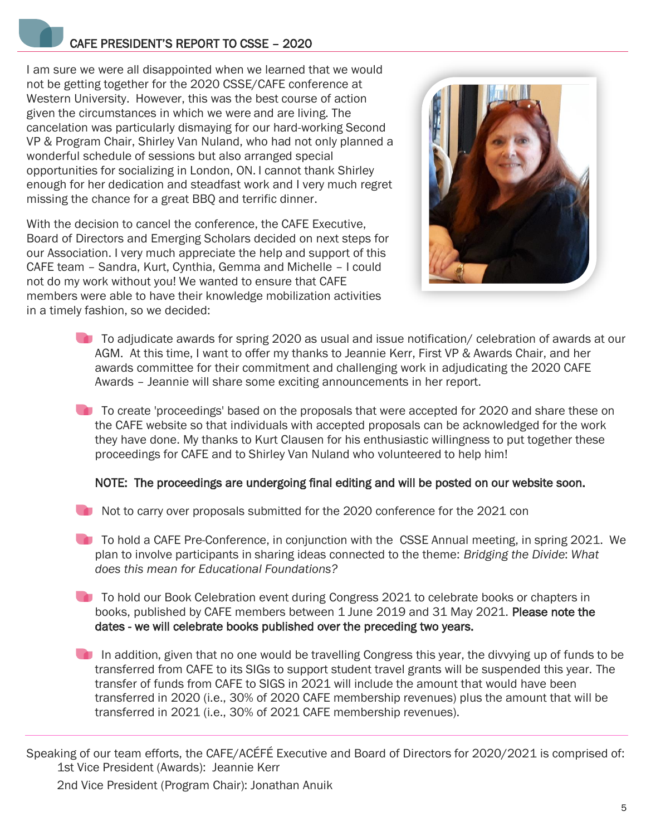### CAFE PRESIDENT'S REPORT TO CSSE – 2020

I am sure we were all disappointed when we learned that we would not be getting together for the 2020 CSSE/CAFE conference at Western University. However, this was the best course of action given the circumstances in which we were and are living. The cancelation was particularly dismaying for our hard-working Second VP & Program Chair, Shirley Van Nuland, who had not only planned a wonderful schedule of sessions but also arranged special opportunities for socializing in London, ON. I cannot thank Shirley enough for her dedication and steadfast work and I very much regret missing the chance for a great BBQ and terrific dinner.

With the decision to cancel the conference, the CAFE Executive, Board of Directors and Emerging Scholars decided on next steps for our Association. I very much appreciate the help and support of this CAFE team – Sandra, Kurt, Cynthia, Gemma and Michelle – I could not do my work without you! We wanted to ensure that CAFE members were able to have their knowledge mobilization activities in a timely fashion, so we decided:



- To adjudicate awards for spring 2020 as usual and issue notification/ celebration of awards at our AGM. At this time, I want to offer my thanks to Jeannie Kerr, First VP & Awards Chair, and her awards committee for their commitment and challenging work in adjudicating the 2020 CAFE Awards – Jeannie will share some exciting announcements in her report.
- To create 'proceedings' based on the proposals that were accepted for 2020 and share these on the CAFE website so that individuals with accepted proposals can be acknowledged for the work they have done. My thanks to Kurt Clausen for his enthusiastic willingness to put together these proceedings for CAFE and to Shirley Van Nuland who volunteered to help him!

#### NOTE: The proceedings are undergoing final editing and will be posted on our website soon.

- Not to carry over proposals submitted for the 2020 conference for the 2021 con
- **To hold a CAFE Pre-Conference, in conjunction with the CSSE Annual meeting, in spring 2021. We** plan to involve participants in sharing ideas connected to the theme: *Bridging the Divide*: *What does this mean for Educational Foundations?*
- To hold our Book Celebration event during Congress 2021 to celebrate books or chapters in books, published by CAFE members between 1 June 2019 and 31 May 2021. Please note the dates - we will celebrate books published over the preceding two years.
- In addition, given that no one would be travelling Congress this year, the divvying up of funds to be transferred from CAFE to its SIGs to support student travel grants will be suspended this year. The transfer of funds from CAFE to SIGS in 2021 will include the amount that would have been transferred in 2020 (i.e., 30% of 2020 CAFE membership revenues) plus the amount that will be transferred in 2021 (i.e., 30% of 2021 CAFE membership revenues).

Speaking of our team efforts, the CAFE/ACÉFÉ Executive and Board of Directors for 2020/2021 is comprised of: 1st Vice President (Awards): Jeannie Kerr 2nd Vice President (Program Chair): Jonathan Anuik